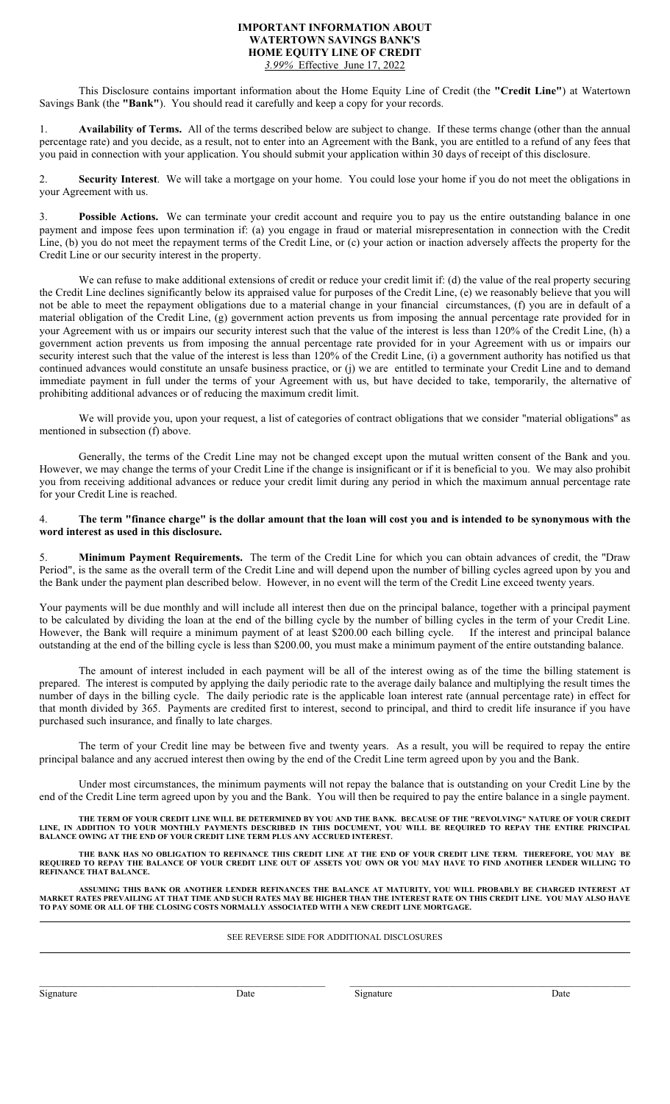## **IMPORTANT INFORMATION ABOUT WATERTOWN SAVINGS BANK'S HOME EQUITY LINE OF CREDIT** *3.99%* Effective June 17, 2022

This Disclosure contains important information about the Home Equity Line of Credit (the **"Credit Line"**) at Watertown Savings Bank (the **"Bank"**). You should read it carefully and keep a copy for your records.

1. **Availability of Terms.** All of the terms described below are subject to change. If these terms change (other than the annual percentage rate) and you decide, as a result, not to enter into an Agreement with the Bank, you are entitled to a refund of any fees that you paid in connection with your application. You should submit your application within 30 days of receipt of this disclosure.

2. **Security Interest**. We will take a mortgage on your home. You could lose your home if you do not meet the obligations in your Agreement with us.

3. **Possible Actions.** We can terminate your credit account and require you to pay us the entire outstanding balance in one payment and impose fees upon termination if: (a) you engage in fraud or material misrepresentation in connection with the Credit Line, (b) you do not meet the repayment terms of the Credit Line, or (c) your action or inaction adversely affects the property for the Credit Line or our security interest in the property.

We can refuse to make additional extensions of credit or reduce your credit limit if: (d) the value of the real property securing the Credit Line declines significantly below its appraised value for purposes of the Credit Line, (e) we reasonably believe that you will not be able to meet the repayment obligations due to a material change in your financial circumstances, (f) you are in default of a material obligation of the Credit Line, (g) government action prevents us from imposing the annual percentage rate provided for in your Agreement with us or impairs our security interest such that the value of the interest is less than 120% of the Credit Line, (h) a government action prevents us from imposing the annual percentage rate provided for in your Agreement with us or impairs our security interest such that the value of the interest is less than 120% of the Credit Line, (i) a government authority has notified us that continued advances would constitute an unsafe business practice, or (j) we are entitled to terminate your Credit Line and to demand immediate payment in full under the terms of your Agreement with us, but have decided to take, temporarily, the alternative of prohibiting additional advances or of reducing the maximum credit limit.

We will provide you, upon your request, a list of categories of contract obligations that we consider "material obligations" as mentioned in subsection (f) above.

Generally, the terms of the Credit Line may not be changed except upon the mutual written consent of the Bank and you. However, we may change the terms of your Credit Line if the change is insignificant or if it is beneficial to you. We may also prohibit you from receiving additional advances or reduce your credit limit during any period in which the maximum annual percentage rate for your Credit Line is reached.

## 4. **The term "finance charge" is the dollar amount that the loan will cost you and is intended to be synonymous with the word interest as used in this disclosure.**

5. **Minimum Payment Requirements.** The term of the Credit Line for which you can obtain advances of credit, the "Draw Period", is the same as the overall term of the Credit Line and will depend upon the number of billing cycles agreed upon by you and the Bank under the payment plan described below. However, in no event will the term of the Credit Line exceed twenty years.

Your payments will be due monthly and will include all interest then due on the principal balance, together with a principal payment to be calculated by dividing the loan at the end of the billing cycle by the number of billing cycles in the term of your Credit Line. However, the Bank will require a minimum payment of at least \$200.00 each billing cycle. If the interest and principal balance outstanding at the end of the billing cycle is less than \$200.00, you must make a minimum payment of the entire outstanding balance.

The amount of interest included in each payment will be all of the interest owing as of the time the billing statement is prepared. The interest is computed by applying the daily periodic rate to the average daily balance and multiplying the result times the number of days in the billing cycle. The daily periodic rate is the applicable loan interest rate (annual percentage rate) in effect for that month divided by 365. Payments are credited first to interest, second to principal, and third to credit life insurance if you have purchased such insurance, and finally to late charges.

The term of your Credit line may be between five and twenty years. As a result, you will be required to repay the entire principal balance and any accrued interest then owing by the end of the Credit Line term agreed upon by you and the Bank.

Under most circumstances, the minimum payments will not repay the balance that is outstanding on your Credit Line by the end of the Credit Line term agreed upon by you and the Bank. You will then be required to pay the entire balance in a single payment.

**THE TERM OF YOUR CREDIT LINE WILL BE DETERMINED BY YOU AND THE BANK. BECAUSE OF THE "REVOLVING" NATURE OF YOUR CREDIT LINE, IN ADDITION TO YOUR MONTHLY PAYMENTS DESCRIBED IN THIS DOCUMENT, YOU WILL BE REQUIRED TO REPAY THE ENTIRE PRINCIPAL BALANCE OWING AT THE END OF YOUR CREDIT LINE TERM PLUS ANY ACCRUED INTEREST.**

**THE BANK HAS NO OBLIGATION TO REFINANCE THIS CREDIT LINE AT THE END OF YOUR CREDIT LINE TERM. THEREFORE, YOU MAY BE REQUIRED TO REPAY THE BALANCE OF YOUR CREDIT LINE OUT OF ASSETS YOU OWN OR YOU MAY HAVE TO FIND ANOTHER LENDER WILLING TO REFINANCE THAT BALANCE.**

**ASSUMING THIS BANK OR ANOTHER LENDER REFINANCES THE BALANCE AT MATURITY, YOU WILL PROBABLY BE CHARGED INTEREST AT MARKET RATES PREVAILING AT THAT TIME AND SUCH RATES MAY BE HIGHER THAN THE INTEREST RATE ON THIS CREDIT LINE. YOU MAY ALSO HAVE TO PAY SOME OR ALL OF THE CLOSING COSTS NORMALLY ASSOCIATED WITH A NEW CREDIT LINE MORTGAGE.**

## SEE REVERSE SIDE FOR ADDITIONAL DISCLOSURES